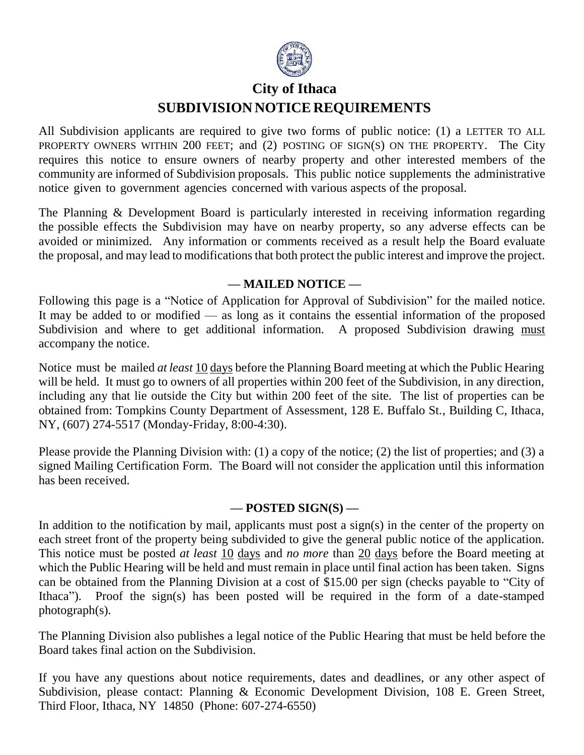

## **City of Ithaca SUBDIVISION NOTICE REQUIREMENTS**

All Subdivision applicants are required to give two forms of public notice: (1) a LETTER TO ALL PROPERTY OWNERS WITHIN 200 FEET; and (2) POSTING OF SIGN(S) ON THE PROPERTY. The City requires this notice to ensure owners of nearby property and other interested members of the community are informed of Subdivision proposals. This public notice supplements the administrative notice given to government agencies concerned with various aspects of the proposal.

The Planning & Development Board is particularly interested in receiving information regarding the possible effects the Subdivision may have on nearby property, so any adverse effects can be avoided or minimized. Any information or comments received as a result help the Board evaluate the proposal, and may lead to modifications that both protect the public interest and improve the project.

## **— MAILED NOTICE —**

Following this page is a "Notice of Application for Approval of Subdivision" for the mailed notice. It may be added to or modified — as long as it contains the essential information of the proposed Subdivision and where to get additional information. A proposed Subdivision drawing must accompany the notice.

Notice must be mailed *at least* 10 days before the Planning Board meeting at which the Public Hearing will be held. It must go to owners of all properties within 200 feet of the Subdivision, in any direction, including any that lie outside the City but within 200 feet of the site. The list of properties can be obtained from: Tompkins County Department of Assessment, 128 E. Buffalo St., Building C, Ithaca, NY, (607) 274-5517 (Monday-Friday, 8:00-4:30).

Please provide the Planning Division with: (1) a copy of the notice; (2) the list of properties; and (3) a signed Mailing Certification Form. The Board will not consider the application until this information has been received.

## **— POSTED SIGN(S) —**

In addition to the notification by mail, applicants must post a sign(s) in the center of the property on each street front of the property being subdivided to give the general public notice of the application. This notice must be posted *at least* 10 days and *no more* than 20 days before the Board meeting at which the Public Hearing will be held and must remain in place until final action has been taken. Signs can be obtained from the Planning Division at a cost of \$15.00 per sign (checks payable to "City of Ithaca"). Proof the sign(s) has been posted will be required in the form of a date-stamped photograph(s).

The Planning Division also publishes a legal notice of the Public Hearing that must be held before the Board takes final action on the Subdivision.

If you have any questions about notice requirements, dates and deadlines, or any other aspect of Subdivision, please contact: Planning & Economic Development Division, 108 E. Green Street, Third Floor, Ithaca, NY 14850 (Phone: 607-274-6550)